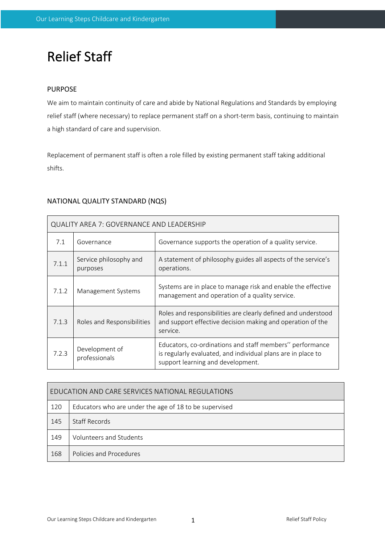# Relief Staff

# PURPOSE

 $\mathsf{r}$ 

We aim to maintain continuity of care and abide by National Regulations and Standards by employing relief staff (where necessary) to replace permanent staff on a short-term basis, continuing to maintain a high standard of care and supervision.

Replacement of permanent staff is often a role filled by existing permanent staff taking additional shifts.

# NATIONAL QUALITY STANDARD (NQS)

| <b>QUALITY AREA 7: GOVERNANCE AND LEADERSHIP</b> |                                    |                                                                                                                                                               |  |  |  |
|--------------------------------------------------|------------------------------------|---------------------------------------------------------------------------------------------------------------------------------------------------------------|--|--|--|
| 7.1                                              | Governance                         | Governance supports the operation of a quality service.                                                                                                       |  |  |  |
| 7.1.1                                            | Service philosophy and<br>purposes | A statement of philosophy guides all aspects of the service's<br>operations.                                                                                  |  |  |  |
| 7.1.2                                            | Management Systems                 | Systems are in place to manage risk and enable the effective<br>management and operation of a quality service.                                                |  |  |  |
| 7.1.3                                            | Roles and Responsibilities         | Roles and responsibilities are clearly defined and understood<br>and support effective decision making and operation of the<br>service.                       |  |  |  |
| 7.2.3                                            | Development of<br>professionals    | Educators, co-ordinations and staff members" performance<br>is regularly evaluated, and individual plans are in place to<br>support learning and development. |  |  |  |

| EDUCATION AND CARE SERVICES NATIONAL REGULATIONS |                                                        |  |  |  |
|--------------------------------------------------|--------------------------------------------------------|--|--|--|
| 120                                              | Educators who are under the age of 18 to be supervised |  |  |  |
| 145                                              | Staff Records                                          |  |  |  |
| 149                                              | Volunteers and Students                                |  |  |  |
| 168                                              | Policies and Procedures                                |  |  |  |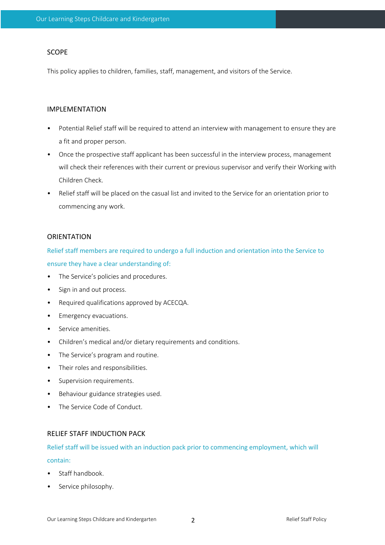# SCOPE

This policy applies to children, families, staff, management, and visitors of the Service.

#### IMPLEMENTATION

- Potential Relief staff will be required to attend an interview with management to ensure they are a fit and proper person.
- Once the prospective staff applicant has been successful in the interview process, management will check their references with their current or previous supervisor and verify their Working with Children Check.
- Relief staff will be placed on the casual list and invited to the Service for an orientation prior to commencing any work.

#### **ORIENTATION**

Relief staff members are required to undergo a full induction and orientation into the Service to ensure they have a clear understanding of:

- The Service's policies and procedures.
- Sign in and out process.
- Required qualifications approved by ACECQA.
- Emergency evacuations.
- Service amenities.
- Children's medical and/or dietary requirements and conditions.
- The Service's program and routine.
- Their roles and responsibilities.
- Supervision requirements.
- Behaviour guidance strategies used.
- The Service Code of Conduct.

#### RELIEF STAFF INDUCTION PACK

# Relief staff will be issued with an induction pack prior to commencing employment, which will

#### contain:

- Staff handbook.
- Service philosophy.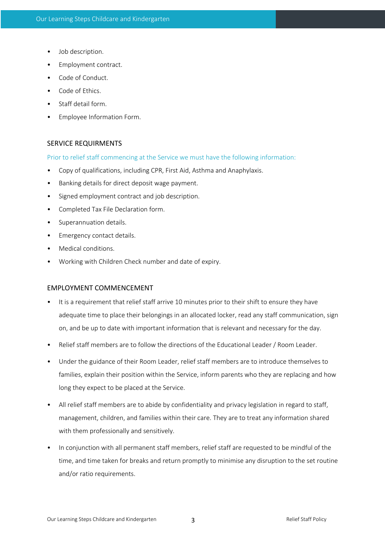- Job description.
- Employment contract.
- Code of Conduct.
- Code of Ethics.
- Staff detail form.
- Employee Information Form.

#### SERVICE REQUIRMENTS

Prior to relief staff commencing at the Service we must have the following information:

- Copy of qualifications, including CPR, First Aid, Asthma and Anaphylaxis.
- Banking details for direct deposit wage payment.
- Signed employment contract and job description.
- Completed Tax File Declaration form.
- Superannuation details.
- Emergency contact details.
- Medical conditions.
- Working with Children Check number and date of expiry.

#### EMPLOYMENT COMMENCEMENT

- It is a requirement that relief staff arrive 10 minutes prior to their shift to ensure they have adequate time to place their belongings in an allocated locker, read any staff communication, sign on, and be up to date with important information that is relevant and necessary for the day.
- Relief staff members are to follow the directions of the Educational Leader / Room Leader.
- Under the guidance of their Room Leader, relief staff members are to introduce themselves to families, explain their position within the Service, inform parents who they are replacing and how long they expect to be placed at the Service.
- All relief staff members are to abide by confidentiality and privacy legislation in regard to staff, management, children, and families within their care. They are to treat any information shared with them professionally and sensitively.
- In conjunction with all permanent staff members, relief staff are requested to be mindful of the time, and time taken for breaks and return promptly to minimise any disruption to the set routine and/or ratio requirements.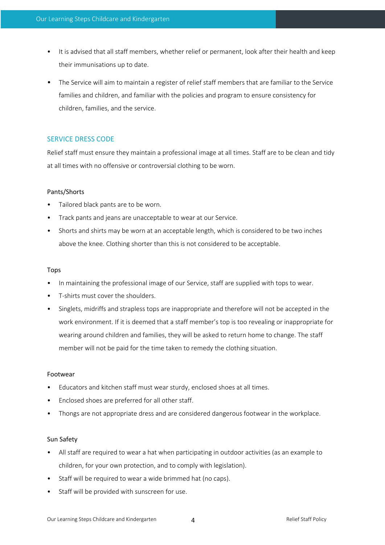- It is advised that all staff members, whether relief or permanent, look after their health and keep their immunisations up to date.
- The Service will aim to maintain a register of relief staff members that are familiar to the Service families and children, and familiar with the policies and program to ensure consistency for children, families, and the service.

# SERVICE DRESS CODE

Relief staff must ensure they maintain a professional image at all times. Staff are to be clean and tidy at all times with no offensive or controversial clothing to be worn.

#### Pants/Shorts

- Tailored black pants are to be worn.
- Track pants and jeans are unacceptable to wear at our Service.
- Shorts and shirts may be worn at an acceptable length, which is considered to be two inches above the knee. Clothing shorter than this is not considered to be acceptable.

#### Tops

- In maintaining the professional image of our Service, staff are supplied with tops to wear.
- T-shirts must cover the shoulders.
- Singlets, midriffs and strapless tops are inappropriate and therefore will not be accepted in the work environment. If it is deemed that a staff member's top is too revealing or inappropriate for wearing around children and families, they will be asked to return home to change. The staff member will not be paid for the time taken to remedy the clothing situation.

#### Footwear

- Educators and kitchen staff must wear sturdy, enclosed shoes at all times.
- Enclosed shoes are preferred for all other staff.
- Thongs are not appropriate dress and are considered dangerous footwear in the workplace.

#### Sun Safety

- All staff are required to wear a hat when participating in outdoor activities (as an example to children, for your own protection, and to comply with legislation).
- Staff will be required to wear a wide brimmed hat (no caps).
- Staff will be provided with sunscreen for use.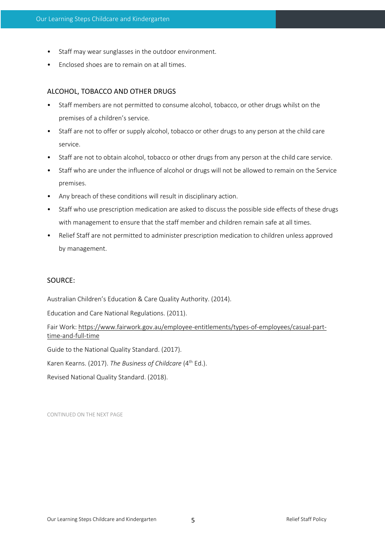- Staff may wear sunglasses in the outdoor environment.
- Enclosed shoes are to remain on at all times.

# ALCOHOL, TOBACCO AND OTHER DRUGS

- Staff members are not permitted to consume alcohol, tobacco, or other drugs whilst on the premises of a children's service.
- Staff are not to offer or supply alcohol, tobacco or other drugs to any person at the child care service.
- Staff are not to obtain alcohol, tobacco or other drugs from any person at the child care service.
- Staff who are under the influence of alcohol or drugs will not be allowed to remain on the Service premises.
- Any breach of these conditions will result in disciplinary action.
- Staff who use prescription medication are asked to discuss the possible side effects of these drugs with management to ensure that the staff member and children remain safe at all times.
- Relief Staff are not permitted to administer prescription medication to children unless approved by management.

# SOURCE:

Australian Children's Education & Care Quality Authority. (2014).

Education and Care National Regulations. (2011).

Fair Work: https://www.fairwork.gov.au/employee-entitlements/types-of-employees/casual-parttime-and-full-time

Guide to the National Quality Standard. (2017).

Karen Kearns. (2017). *The Business of Childcare* (4th Ed.).

Revised National Quality Standard. (2018).

CONTINUED ON THE NEXT PAGE